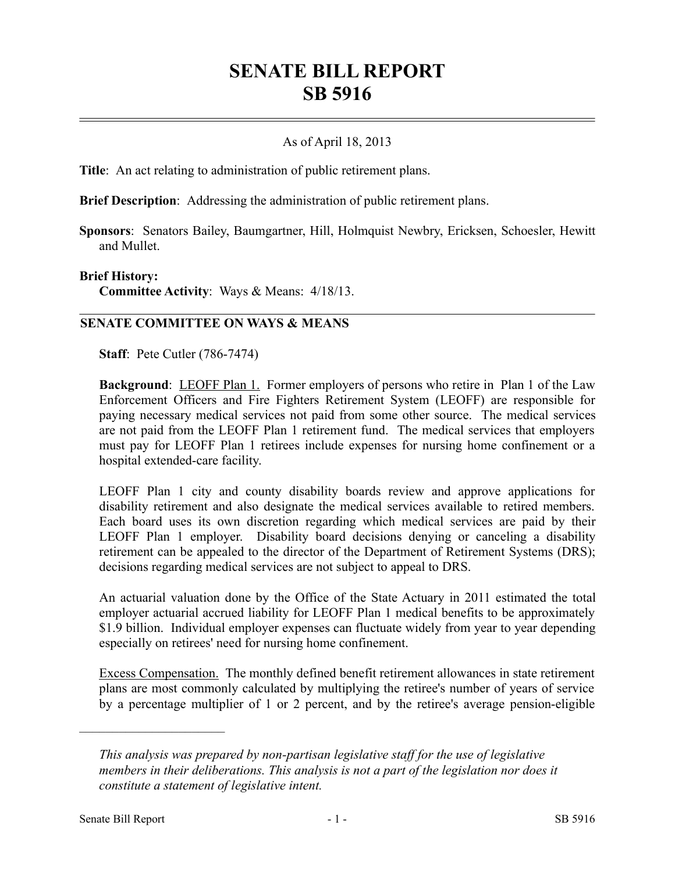# **SENATE BILL REPORT SB 5916**

## As of April 18, 2013

**Title**: An act relating to administration of public retirement plans.

**Brief Description**: Addressing the administration of public retirement plans.

**Sponsors**: Senators Bailey, Baumgartner, Hill, Holmquist Newbry, Ericksen, Schoesler, Hewitt and Mullet.

#### **Brief History:**

**Committee Activity**: Ways & Means: 4/18/13.

### **SENATE COMMITTEE ON WAYS & MEANS**

**Staff**: Pete Cutler (786-7474)

**Background:** LEOFF Plan 1. Former employers of persons who retire in Plan 1 of the Law Enforcement Officers and Fire Fighters Retirement System (LEOFF) are responsible for paying necessary medical services not paid from some other source. The medical services are not paid from the LEOFF Plan 1 retirement fund. The medical services that employers must pay for LEOFF Plan 1 retirees include expenses for nursing home confinement or a hospital extended-care facility.

LEOFF Plan 1 city and county disability boards review and approve applications for disability retirement and also designate the medical services available to retired members. Each board uses its own discretion regarding which medical services are paid by their LEOFF Plan 1 employer. Disability board decisions denying or canceling a disability retirement can be appealed to the director of the Department of Retirement Systems (DRS); decisions regarding medical services are not subject to appeal to DRS.

An actuarial valuation done by the Office of the State Actuary in 2011 estimated the total employer actuarial accrued liability for LEOFF Plan 1 medical benefits to be approximately \$1.9 billion. Individual employer expenses can fluctuate widely from year to year depending especially on retirees' need for nursing home confinement.

Excess Compensation. The monthly defined benefit retirement allowances in state retirement plans are most commonly calculated by multiplying the retiree's number of years of service by a percentage multiplier of 1 or 2 percent, and by the retiree's average pension-eligible

––––––––––––––––––––––

*This analysis was prepared by non-partisan legislative staff for the use of legislative members in their deliberations. This analysis is not a part of the legislation nor does it constitute a statement of legislative intent.*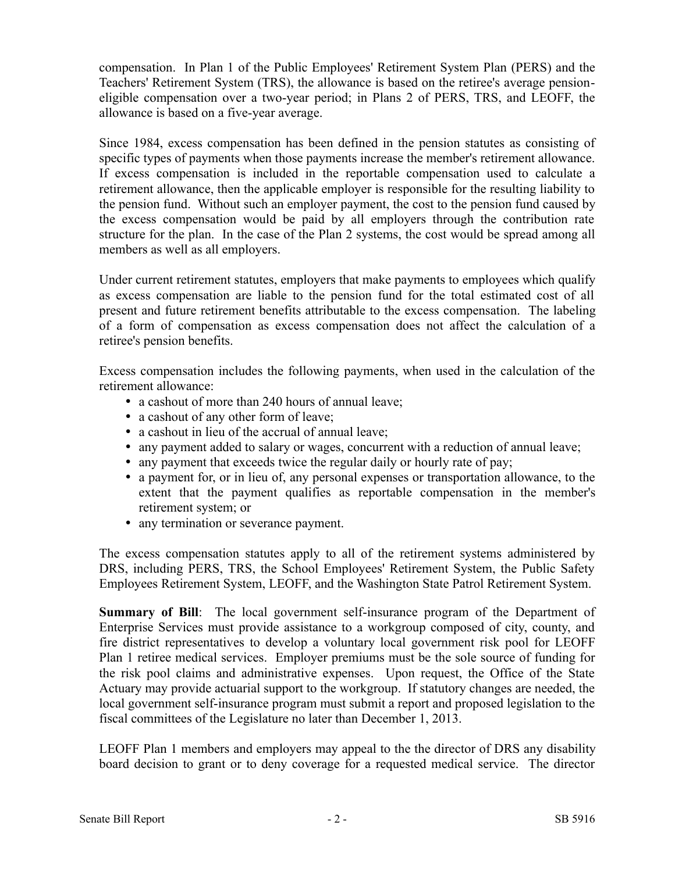compensation. In Plan 1 of the Public Employees' Retirement System Plan (PERS) and the Teachers' Retirement System (TRS), the allowance is based on the retiree's average pensioneligible compensation over a two-year period; in Plans 2 of PERS, TRS, and LEOFF, the allowance is based on a five-year average.

Since 1984, excess compensation has been defined in the pension statutes as consisting of specific types of payments when those payments increase the member's retirement allowance. If excess compensation is included in the reportable compensation used to calculate a retirement allowance, then the applicable employer is responsible for the resulting liability to the pension fund. Without such an employer payment, the cost to the pension fund caused by the excess compensation would be paid by all employers through the contribution rate structure for the plan. In the case of the Plan 2 systems, the cost would be spread among all members as well as all employers.

Under current retirement statutes, employers that make payments to employees which qualify as excess compensation are liable to the pension fund for the total estimated cost of all present and future retirement benefits attributable to the excess compensation. The labeling of a form of compensation as excess compensation does not affect the calculation of a retiree's pension benefits.

Excess compensation includes the following payments, when used in the calculation of the retirement allowance:

- a cashout of more than 240 hours of annual leave;
- a cashout of any other form of leave;
- a cashout in lieu of the accrual of annual leave;
- any payment added to salary or wages, concurrent with a reduction of annual leave;
- any payment that exceeds twice the regular daily or hourly rate of pay;
- a payment for, or in lieu of, any personal expenses or transportation allowance, to the extent that the payment qualifies as reportable compensation in the member's retirement system; or
- any termination or severance payment.

The excess compensation statutes apply to all of the retirement systems administered by DRS, including PERS, TRS, the School Employees' Retirement System, the Public Safety Employees Retirement System, LEOFF, and the Washington State Patrol Retirement System.

**Summary of Bill**: The local government self-insurance program of the Department of Enterprise Services must provide assistance to a workgroup composed of city, county, and fire district representatives to develop a voluntary local government risk pool for LEOFF Plan 1 retiree medical services. Employer premiums must be the sole source of funding for the risk pool claims and administrative expenses. Upon request, the Office of the State Actuary may provide actuarial support to the workgroup. If statutory changes are needed, the local government self-insurance program must submit a report and proposed legislation to the fiscal committees of the Legislature no later than December 1, 2013.

LEOFF Plan 1 members and employers may appeal to the the director of DRS any disability board decision to grant or to deny coverage for a requested medical service. The director